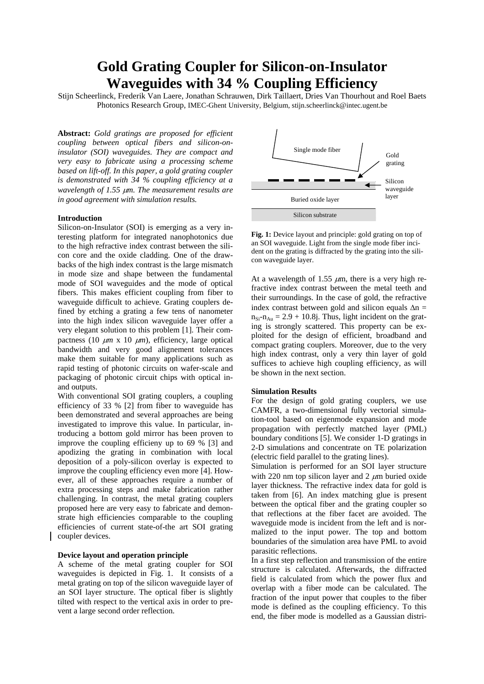# **Gold Grating Coupler for Silicon-on-Insulator Waveguides with 34 % Coupling Efficiency**

Stiin Scheerlinck, Frederik Van Laere, Jonathan Schrauwen, Dirk Taillaert, Dries Van Thourhout and Roel Baets Photonics Research Group, IMEC-Ghent University, Belgium, stijn.scheerlinck@intec.ugent.be

**Abstract:** *Gold gratings are proposed for efficient coupling between optical fibers and silicon-oninsulator (SOI) waveguides. They are compact and very easy to fabricate using a processing scheme based on lift-off. In this paper, a gold grating coupler is demonstrated with 34 % coupling efficiency at a wavelength of 1.55* µ*m. The measurement results are in good agreement with simulation results.* 

### **Introduction**

Silicon-on-Insulator (SOI) is emerging as a very interesting platform for integrated nanophotonics due to the high refractive index contrast between the silicon core and the oxide cladding. One of the drawbacks of the high index contrast is the large mismatch in mode size and shape between the fundamental mode of SOI waveguides and the mode of optical fibers. This makes efficient coupling from fiber to waveguide difficult to achieve. Grating couplers defined by etching a grating a few tens of nanometer into the high index silicon waveguide layer offer a very elegant solution to this problem [1]. Their compactness (10  $\mu$ m x 10  $\mu$ m), efficiency, large optical bandwidth and very good alignement tolerances make them suitable for many applications such as rapid testing of photonic circuits on wafer-scale and packaging of photonic circuit chips with optical inand outputs.

With conventional SOI grating couplers, a coupling efficiency of 33 % [2] from fiber to waveguide has been demonstrated and several approaches are being investigated to improve this value. In particular, introducing a bottom gold mirror has been proven to improve the coupling efficieny up to 69 % [3] and apodizing the grating in combination with local deposition of a poly-silicon overlay is expected to improve the coupling efficiency even more [4]. However, all of these approaches require a number of extra processing steps and make fabrication rather challenging. In contrast, the metal grating couplers proposed here are very easy to fabricate and demonstrate high efficiencies comparable to the coupling efficiencies of current state-of-the art SOI grating coupler devices.

## **Device layout and operation principle**

A scheme of the metal grating coupler for SOI waveguides is depicted in Fig. 1. It consists of a metal grating on top of the silicon waveguide layer of an SOI layer structure. The optical fiber is slightly tilted with respect to the vertical axis in order to prevent a large second order reflection.



**Fig. 1:** Device layout and principle: gold grating on top of an SOI waveguide. Light from the single mode fiber incident on the grating is diffracted by the grating into the silicon waveguide layer.

At a wavelength of 1.55  $\mu$ m, there is a very high refractive index contrast between the metal teeth and their surroundings. In the case of gold, the refractive index contrast between gold and silicon equals  $\Delta n =$  $n_{\text{s}}$ - $n_{\text{Au}}$  = 2.9 + 10.8*i*. Thus, light incident on the grating is strongly scattered. This property can be exploited for the design of efficient, broadband and compact grating couplers. Moreover, due to the very high index contrast, only a very thin layer of gold suffices to achieve high coupling efficiency, as will be shown in the next section.

#### **Simulation Results**

For the design of gold grating couplers, we use CAMFR, a two-dimensional fully vectorial simulation-tool based on eigenmode expansion and mode propagation with perfectly matched layer (PML) boundary conditions [5]. We consider 1-D gratings in 2-D simulations and concentrate on TE polarization (electric field parallel to the grating lines).

Simulation is performed for an SOI layer structure with 220 nm top silicon layer and 2  $\mu$ m buried oxide layer thickness. The refractive index data for gold is taken from [6]. An index matching glue is present between the optical fiber and the grating coupler so that reflections at the fiber facet are avoided. The waveguide mode is incident from the left and is normalized to the input power. The top and bottom boundaries of the simulation area have PML to avoid parasitic reflections.

In a first step reflection and transmission of the entire structure is calculated. Afterwards, the diffracted field is calculated from which the power flux and overlap with a fiber mode can be calculated. The fraction of the input power that couples to the fiber mode is defined as the coupling efficiency. To this end, the fiber mode is modelled as a Gaussian distri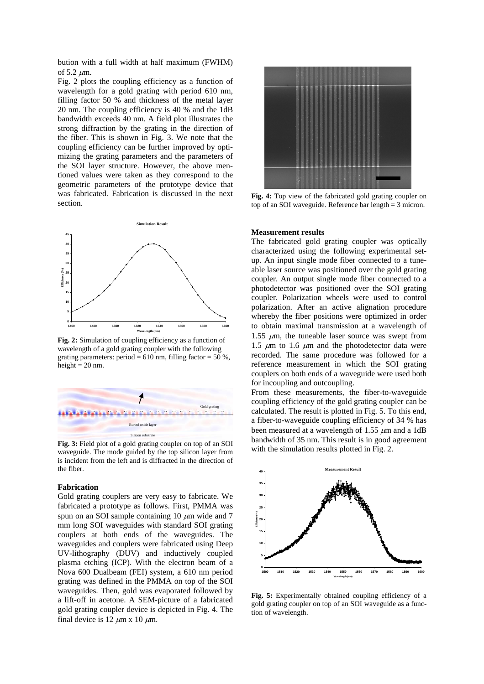bution with a full width at half maximum (FWHM) of  $5.2 \mu m$ .

Fig. 2 plots the coupling efficiency as a function of wavelength for a gold grating with period 610 nm, filling factor 50 % and thickness of the metal layer 20 nm. The coupling efficiency is 40 % and the 1dB bandwidth exceeds 40 nm. A field plot illustrates the strong diffraction by the grating in the direction of the fiber. This is shown in Fig. 3. We note that the coupling efficiency can be further improved by optimizing the grating parameters and the parameters of the SOI layer structure. However, the above mentioned values were taken as they correspond to the geometric parameters of the prototype device that was fabricated. Fabrication is discussed in the next section.



**Fig. 2:** Simulation of coupling efficiency as a function of wavelength of a gold grating coupler with the following grating parameters: period =  $610$  nm, filling factor =  $50\%$ , height  $= 20$  nm.



**Fig. 3:** Field plot of a gold grating coupler on top of an SOI waveguide. The mode guided by the top silicon layer from is incident from the left and is diffracted in the direction of the fiber.

## **Fabrication**

Gold grating couplers are very easy to fabricate. We fabricated a prototype as follows. First, PMMA was spun on an SOI sample containing 10  $\mu$ m wide and 7 mm long SOI waveguides with standard SOI grating couplers at both ends of the waveguides. The waveguides and couplers were fabricated using Deep UV-lithography (DUV) and inductively coupled plasma etching (ICP). With the electron beam of a Nova 600 Dualbeam (FEI) system, a 610 nm period grating was defined in the PMMA on top of the SOI waveguides. Then, gold was evaporated followed by a lift-off in acetone. A SEM-picture of a fabricated gold grating coupler device is depicted in Fig. 4. The final device is 12  $\mu$ m x 10  $\mu$ m.



**Fig. 4:** Top view of the fabricated gold grating coupler on top of an SOI waveguide. Reference bar length = 3 micron.

#### **Measurement results**

The fabricated gold grating coupler was optically characterized using the following experimental setup. An input single mode fiber connected to a tuneable laser source was positioned over the gold grating coupler. An output single mode fiber connected to a photodetector was positioned over the SOI grating coupler. Polarization wheels were used to control polarization. After an active alignation procedure whereby the fiber positions were optimized in order to obtain maximal transmission at a wavelength of 1.55  $\mu$ m, the tuneable laser source was swept from 1.5  $\mu$ m to 1.6  $\mu$ m and the photodetector data were recorded. The same procedure was followed for a reference measurement in which the SOI grating couplers on both ends of a waveguide were used both for incoupling and outcoupling.

From these measurements, the fiber-to-waveguide coupling efficiency of the gold grating coupler can be calculated. The result is plotted in Fig. 5. To this end, a fiber-to-waveguide coupling efficiency of 34 % has been measured at a wavelength of 1.55  $\mu$ m and a 1dB bandwidth of 35 nm. This result is in good agreement with the simulation results plotted in Fig. 2.



**Fig. 5:** Experimentally obtained coupling efficiency of a gold grating coupler on top of an SOI waveguide as a function of wavelength.